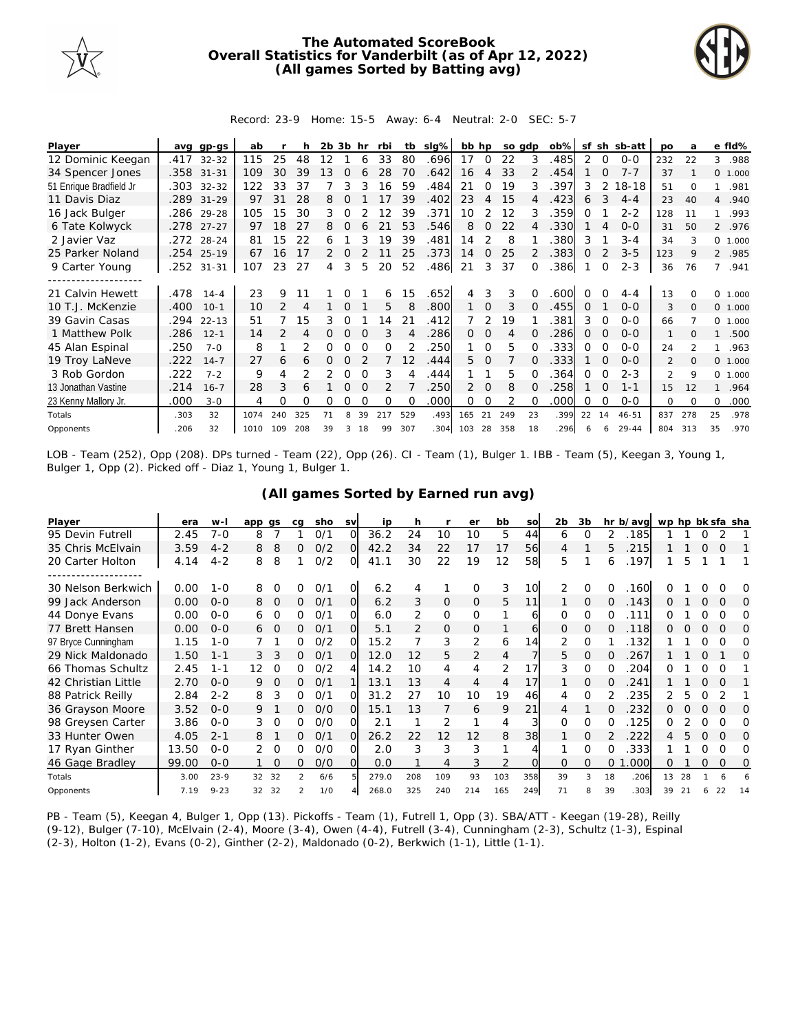

## **The Automated ScoreBook Overall Statistics for Vanderbilt (as of Apr 12, 2022) (All games Sorted by Batting avg)**



## Record: 23-9 Home: 15-5 Away: 6-4 Neutral: 2-0 SEC: 5-7

| Player                  | ava  | $qp-qs$    | ab   |               |     | 2b 3b |          | hr | rbi      | tb       | slg% | bb hp |             | so adp |    | ob%  | sf       | sh       | sb-att    | <b>DO</b>      | a        |                | e fld%  |
|-------------------------|------|------------|------|---------------|-----|-------|----------|----|----------|----------|------|-------|-------------|--------|----|------|----------|----------|-----------|----------------|----------|----------------|---------|
| 12 Dominic Keegan       | .417 | $32 - 32$  | 115  | 25            | 48  | 12    |          | 6  | 33       | 80       | .696 | 17    | 0           | 22     | 3  | .485 | 2        | 0        | $O - O$   | 232            | 22       | 3              | .988    |
| 34 Spencer Jones        |      | .358 31-31 | 109  | 30            | 39  | 13    | 0        |    | 28       | 70       | .642 | 16    | 4           | 33     |    | .454 |          |          | $7 - 7$   | 37             |          |                | 0 1.000 |
| 51 Enrique Bradfield Jr | .303 | $32 - 32$  | 122  | 33            | 37  |       | 3        |    | 16       | 59       | .484 | 21    | 0           | 19     | 3  | .397 | 3        |          | $18 - 18$ | 51             | $\Omega$ |                | .981    |
| 11 Davis Diaz           | .289 | $31 - 29$  | 97   | 31            | 28  | 8     |          |    | 17       | 39       | .402 | 23    | 4           | 15     | 4  | .423 | 6        | 3        | $4 - 4$   | 23             | 40       | $\overline{4}$ | .940    |
| 16 Jack Bulger          |      | .286 29-28 | 105  | 15            | 30  | 3     | Ω        |    | 2        | 39       | .371 | 10    | 2           | 12     | 3  | .359 | Ω        |          | $2 - 2$   | 128            | 11       |                | .993    |
| 6 Tate Kolwyck          | .278 | $27 - 27$  | 97   | 18            | 27  | 8     | $\Omega$ | 6  | 21       | 53       | .546 | 8     | $\Omega$    | 22     |    | .330 |          |          | $O - O$   | 31             | 50       |                | 2 .976  |
| 2 Javier Vaz            |      | .272 28-24 | 81   | 15            | 22  | 6     |          | 3  | 19       | 39       | .481 | 14    |             | 8      |    | 380  | 3        |          | $3 - 4$   | 34             | 3        |                | 0 1.000 |
| 25 Parker Noland        |      | .254 25-19 | 67   | 16            | 17  | 2     |          |    |          | 25       | .373 | 14    | 0           | 25     |    | .383 | Ω        |          | $3 - 5$   | 123            | 9        |                | 2 .985  |
| 9 Carter Young          | .252 | $31 - 31$  | 107  | 23            | 27  | 4     | 3        | 5  | 20       | 52       | .486 | 21    | 3           | 37     |    | .386 |          | $\Omega$ | $2 - 3$   | 36             | 76       | 7              | .941    |
|                         |      |            |      |               |     |       |          |    |          |          |      |       |             |        |    |      |          |          |           |                |          |                |         |
| 21 Calvin Hewett        | .478 | $14 - 4$   | 23   | 9             |     |       |          |    | 6        | 15       | .652 | 4     | 3           | 3      |    | 600  |          |          | $4 - 4$   | 13             |          | $\Omega$       | 1.000   |
| 10 T.J. McKenzie        | .400 | $10-1$     | 10   | $\mathcal{P}$ |     |       | O        |    | 5        | 8        | .800 |       | $\mathbf 0$ | 3      |    | .455 | $\Omega$ |          | $0 - 0$   | 3              | $\Omega$ |                | 0 1.000 |
| 39 Gavin Casas          | .294 | $22 - 13$  | 51   |               | 15  | 3     | 0        |    | 4        | 21       | .412 |       | 2           | 19     |    | .381 | 3        | 0        | $0 - 0$   | 66             |          |                | 0 1.000 |
| 1 Matthew Polk          | .286 | $12 - 1$   | 14   |               | 4   |       |          |    |          |          | .286 | 0     | 0           | 4      |    | 286  | $\Omega$ |          | $O-O$     | $\mathbf{1}$   |          |                | .500    |
| 45 Alan Espinal         | .250 | $7 - 0$    | 8    |               |     | O     |          |    | O        |          | 250  |       | $\Omega$    | 5      |    | 333  | O        |          | $O-O$     | 24             |          |                | .963    |
| 19 Troy LaNeve          | .222 | $14 - 7$   | 27   | 6             | 6   | 0     | 0        |    |          | 12       | .444 | 5.    | $\Omega$    |        | 0  | .333 |          | $\Omega$ | $O-O$     | $\overline{2}$ | $\Omega$ | $\Omega$       | 1.000   |
| 3 Rob Gordon            | .222 | $7 - 2$    | 9    | 4             |     |       | Ω        |    | 3        |          | .444 |       |             | 5      |    | 364  | 0        | O        | $2 - 3$   | $\mathcal{P}$  | 9        | $\Omega$       | 1.000   |
| 13 Jonathan Vastine     | .214 | $16 - 7$   | 28   | 3             | 6   |       | 0        |    | 2        |          | 250  | 2     | $\Omega$    | 8      |    | 258  |          | $\Omega$ | $1 - 1$   | 15             | 12       |                | .964    |
| 23 Kenny Mallory Jr.    | .000 | $3 - 0$    | 4    | 0             | 0   | Ω     | Ω        |    | $\Omega$ | $\Omega$ | .000 | 0     | 0           | 2      |    | .000 | Ω        | $\Omega$ | $0 - 0$   | $\Omega$       | $\Omega$ | $\Omega$       | .000    |
| Totals                  | .303 | 32         | 1074 | 240           | 325 |       | 8        | 39 | 217      | 529      | .493 | 165   | 21          | 249    | 23 | .399 | 22       | 14       | $46 - 51$ | 837            | 278      | 25             | .978    |
| Opponents               | .206 | 32         | 1010 | 109           | 208 | 39    | 3        | 18 | 99       | 307      | .304 | 103   | 28          | 358    | 18 | 296  |          | 6        | $29 - 44$ | 804            | 313      | 35             | .970    |

LOB - Team (252), Opp (208). DPs turned - Team (22), Opp (26). CI - Team (1), Bulger 1. IBB - Team (5), Keegan 3, Young 1, Bulger 1, Opp (2). Picked off - Diaz 1, Young 1, Bulger 1.

| Player              | era   | $W-I$    | app qs |          | ca             | sho | <b>SV</b> | ip    | h   |                | er             | bb             | SO  | 2 <sub>b</sub> | 3b       |    | hr b/avg | wp hp bk sfa sha |    |          |          |     |
|---------------------|-------|----------|--------|----------|----------------|-----|-----------|-------|-----|----------------|----------------|----------------|-----|----------------|----------|----|----------|------------------|----|----------|----------|-----|
| 95 Devin Futrell    | 2.45  | $7 - 0$  | 8      |          |                | 0/1 | O         | 36.2  | 24  | 10             | 10             | 5              | 44  | 6              | O        | 2  | 185      |                  |    |          |          |     |
| 35 Chris McElvain   | 3.59  | $4 - 2$  | 8      | 8        | 0              | O/2 | $\Omega$  | 42.2  | 34  | 22             | 17             | 17             | 56  | 4              |          | 5  | 215      |                  |    | $\Omega$ | O        |     |
| 20 Carter Holton    | 4.14  | $4 - 2$  | 8      | 8        |                | O/2 | 0         | 41.1  | 30  | 22             | 19             | 12             | 58  | 5              |          | 6  | .197     |                  | 5  |          |          |     |
| -----------------   |       |          |        |          |                |     |           |       |     |                |                |                |     |                |          |    |          |                  |    |          |          |     |
| 30 Nelson Berkwich  | 0.00  | $1 - 0$  | 8      | $\Omega$ | O              | 0/1 | $\Omega$  | 6.2   | 4   | 1              | $\Omega$       | 3              | 10  | $\mathcal{P}$  | $\Omega$ | ∩  | .160     |                  |    |          |          | O   |
| 99 Jack Anderson    | 0.00  | $O - O$  | 8      | O        | 0              | 0/1 | O         | 6.2   | 3   | $\overline{0}$ | 0              | 5              | 11  |                | $\Omega$ | O  | .143     | Ω                |    | $\Omega$ | $\Omega$ | O   |
| 44 Donye Evans      | 0.00  | $O - O$  | 6      | 0        | 0              | 0/1 | $\Omega$  | 6.0   | 2   | $\mathbf 0$    | 0              |                | 6   | 0              | $\Omega$ | 0  | .111     | Ω                |    |          | O        | Ω   |
| 77 Brett Hansen     | 0.00  | $O - O$  | 6      | 0        | 0              | O/1 | Ω         | 5.1   | 2   | 0              | 0              |                | 6   | 0              | 0        | O  | .118     | Ο                |    |          | O        | O   |
| 97 Bryce Cunningham | 1.15  | $1 - 0$  |        |          | 0              | 0/2 | Ω         | 15.2  |     | 3              | 2              | 6              | 14  | 2              | $\Omega$ |    | .132     |                  |    |          |          | O   |
| 29 Nick Maldonado   | 1.50  | $1 - 1$  | 3      | 3        | 0              | 0/1 | Ω         | 12.0  | 12  | 5              | $\overline{2}$ | 4              |     | 5              | $\Omega$ |    | 267      |                  |    |          |          | Ω   |
| 66 Thomas Schultz   | 2.45  | $1 - 1$  | 12     | $\Omega$ | 0              | 0/2 | 4         | 14.2  | 10  | 4              | 4              | 2              | 17  | 3              | $\Omega$ | 0  | 204      | O                |    | 0        | O        |     |
| 42 Christian Little | 2.70  | $O - O$  | 9      | O        | 0              | 0/1 |           | 13.1  | 13  | 4              | 4              | $\overline{4}$ | 17  |                | O        | Ω  | 241      |                  |    |          | $\Omega$ |     |
| 88 Patrick Reilly   | 2.84  | $2 - 2$  | 8      | 3        | 0              | 0/1 | O         | 31.2  | 27  | 10             | 10             | 19             | 46  | 4              | $\Omega$ |    | 235      |                  | 5  |          |          |     |
| 36 Grayson Moore    | 3.52  | $O - O$  | 9      |          | 0              | O/O | $\Omega$  | 15.1  | 13  |                | 6              | 9              | 21  | 4              |          | Ω  | 232      | 0                |    |          | $\Omega$ | O   |
| 98 Greysen Carter   | 3.86  | $O-O$    | 3      | 0        | 0              | 0/0 | $\Omega$  | 2.1   |     | 2              |                | 4              | 3   | 0              | 0        | O  | .125     | Ω                |    |          | O        | O   |
| 33 Hunter Owen      | 4.05  | $2 - 1$  | 8      |          | 0              | 0/1 | $\Omega$  | 26.2  | 22  | 12             | 12             | 8              | 38  |                | O        |    | .222     |                  | 5  | 0        | $\Omega$ | O   |
| 17 Ryan Ginther     | 13.50 | $O - O$  | 2      | $\Omega$ | 0              | O/O | Ω         | 2.0   | 3   | 3              | 3              |                |     |                | Ω        |    | .333     |                  |    |          | $\Omega$ | Ω   |
| 46 Gage Bradley     | 99.00 | $0 - 0$  |        | $\Omega$ | 0              | O/O | $\Omega$  | 0.0   |     | 4              | 3              | 2              |     | 0              | O        | 0  | .000     | Ω                |    | O        | $\Omega$ | Ω   |
| Totals              | 3.00  | $23 - 9$ | 32     | 32       | $\mathfrak{D}$ | 6/6 |           | 279.0 | 208 | 109            | 93             | 103            | 358 | 39             | 3        | 18 | .206     | 13               | 28 |          |          |     |
| Opponents           | 7.19  | $9 - 23$ | 32     | 32       | $\mathcal{P}$  | 1/0 |           | 268.0 | 325 | 240            | 214            | 165            | 249 | 71             | 8        | 39 | .303     | 39               | 21 | 6        | 22       | -14 |

## **(All games Sorted by Earned run avg)**

PB - Team (5), Keegan 4, Bulger 1, Opp (13). Pickoffs - Team (1), Futrell 1, Opp (3). SBA/ATT - Keegan (19-28), Reilly (9-12), Bulger (7-10), McElvain (2-4), Moore (3-4), Owen (4-4), Futrell (3-4), Cunningham (2-3), Schultz (1-3), Espinal (2-3), Holton (1-2), Evans (0-2), Ginther (2-2), Maldonado (0-2), Berkwich (1-1), Little (1-1).